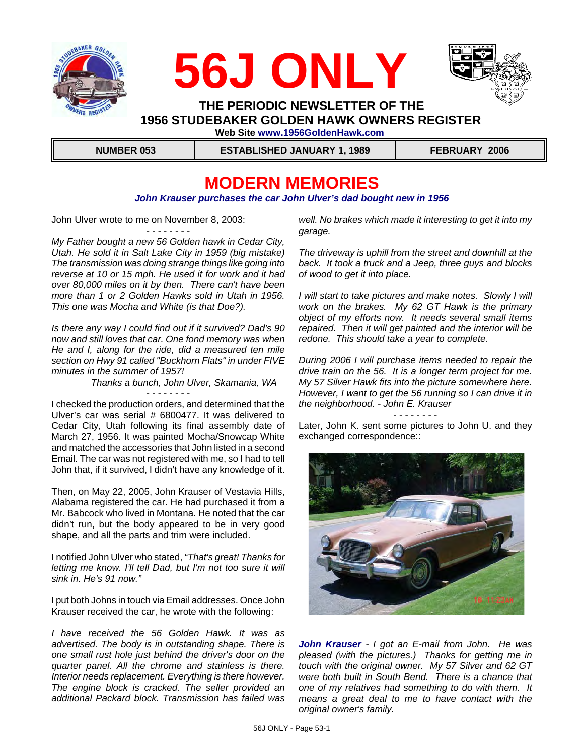





 **THE PERIODIC NEWSLETTER OF THE 1956 STUDEBAKER GOLDEN HAWK OWNERS REGISTER Web Site www.1956GoldenHawk.com**

 **NUMBER 053 ESTABLISHED JANUARY 1, 1989 FEBRUARY 2006**

# **MODERN MEMORIES**

#### *John Krauser purchases the car John Ulver's dad bought new in 1956*

John Ulver wrote to me on November 8, 2003:

- - - - - - - -

*My Father bought a new 56 Golden hawk in Cedar City, Utah. He sold it in Salt Lake City in 1959 (big mistake) The transmission was doing strange things like going into reverse at 10 or 15 mph. He used it for work and it had over 80,000 miles on it by then. There can't have been more than 1 or 2 Golden Hawks sold in Utah in 1956. This one was Mocha and White (is that Doe?).*

*Is there any way I could find out if it survived? Dad's 90 now and still loves that car. One fond memory was when He and I, along for the ride, did a measured ten mile section on Hwy 91 called "Buckhorn Flats" in under FIVE minutes in the summer of 1957!* 

- - - - - - - -

 *Thanks a bunch, John Ulver, Skamania, WA*

I checked the production orders, and determined that the Ulver's car was serial # 6800477. It was delivered to Cedar City, Utah following its final assembly date of March 27, 1956. It was painted Mocha/Snowcap White and matched the accessories that John listed in a second Email. The car was not registered with me, so I had to tell John that, if it survived, I didn't have any knowledge of it.

Then, on May 22, 2005, John Krauser of Vestavia Hills, Alabama registered the car. He had purchased it from a Mr. Babcock who lived in Montana. He noted that the car didn't run, but the body appeared to be in very good shape, and all the parts and trim were included.

I notified John Ulver who stated, *"That's great! Thanks for letting me know. I'll tell Dad, but I'm not too sure it will sink in. He's 91 now."*

I put both Johns in touch via Email addresses. Once John Krauser received the car, he wrote with the following:

*I have received the 56 Golden Hawk. It was as advertised. The body is in outstanding shape. There is one small rust hole just behind the driver's door on the quarter panel. All the chrome and stainless is there. Interior needs replacement. Everything is there however. The engine block is cracked. The seller provided an additional Packard block. Transmission has failed was*

*well. No brakes which made it interesting to get it into my garage.*

*The driveway is uphill from the street and downhill at the back. It took a truck and a Jeep, three guys and blocks of wood to get it into place.*

*I will start to take pictures and make notes. Slowly I will work on the brakes. My 62 GT Hawk is the primary object of my efforts now. It needs several small items repaired. Then it will get painted and the interior will be redone. This should take a year to complete.*

*During 2006 I will purchase items needed to repair the drive train on the 56. It is a longer term project for me. My 57 Silver Hawk fits into the picture somewhere here. However, I want to get the 56 running so I can drive it in the neighborhood. - John E. Krauser*

- - - - - - - -

Later, John K. sent some pictures to John U. and they exchanged correspondence::



*John Krauser - I got an E-mail from John. He was pleased (with the pictures.) Thanks for getting me in touch with the original owner. My 57 Silver and 62 GT were both built in South Bend. There is a chance that one of my relatives had something to do with them. It means a great deal to me to have contact with the original owner's family.*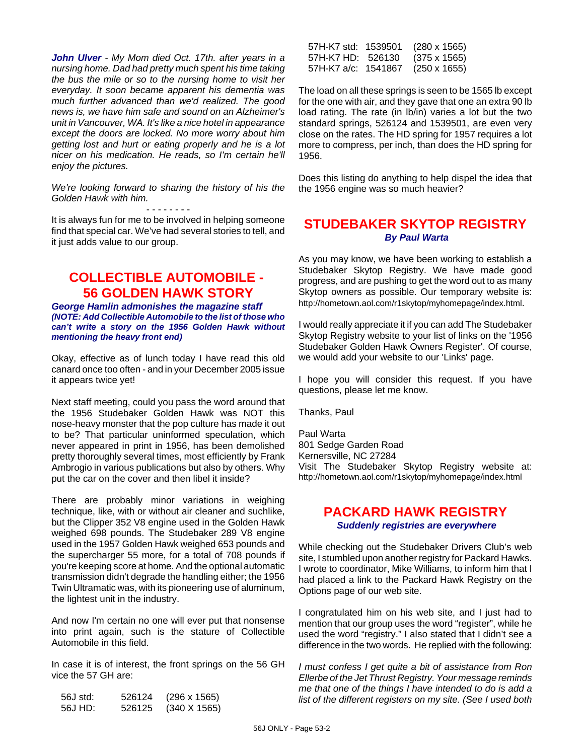*John Ulver - My Mom died Oct. 17th. after years in a nursing home. Dad had pretty much spent his time taking the bus the mile or so to the nursing home to visit her everyday. It soon became apparent his dementia was much further advanced than we'd realized. The good news is, we have him safe and sound on an Alzheimer's unit in Vancouver, WA. It's like a nice hotel in appearance except the doors are locked. No more worry about him getting lost and hurt or eating properly and he is a lot nicer on his medication. He reads, so I'm certain he'll enjoy the pictures.* 

*We're looking forward to sharing the history of his the Golden Hawk with him.* 

- - - - - - - - It is always fun for me to be involved in helping someone find that special car. We've had several stories to tell, and it just adds value to our group.

### **COLLECTIBLE AUTOMOBILE - 56 GOLDEN HAWK STORY**

*George Hamlin admonishes the magazine staff (NOTE: Add Collectible Automobile to the list of those who can't write a story on the 1956 Golden Hawk without mentioning the heavy front end)*

Okay, effective as of lunch today I have read this old canard once too often - and in your December 2005 issue it appears twice yet!

Next staff meeting, could you pass the word around that the 1956 Studebaker Golden Hawk was NOT this nose-heavy monster that the pop culture has made it out to be? That particular uninformed speculation, which never appeared in print in 1956, has been demolished pretty thoroughly several times, most efficiently by Frank Ambrogio in various publications but also by others. Why put the car on the cover and then libel it inside?

There are probably minor variations in weighing technique, like, with or without air cleaner and suchlike, but the Clipper 352 V8 engine used in the Golden Hawk weighed 698 pounds. The Studebaker 289 V8 engine used in the 1957 Golden Hawk weighed 653 pounds and the supercharger 55 more, for a total of 708 pounds if you're keeping score at home. And the optional automatic transmission didn't degrade the handling either; the 1956 Twin Ultramatic was, with its pioneering use of aluminum, the lightest unit in the industry.

And now I'm certain no one will ever put that nonsense into print again, such is the stature of Collectible Automobile in this field.

In case it is of interest, the front springs on the 56 GH vice the 57 GH are:

| 56J std: | 526124 | $(296 \times 1565)$ |
|----------|--------|---------------------|
| 56J HD:  | 526125 | $(340 \times 1565)$ |

| 57H-K7 std: 1539501 | $(280 \times 1565)$ |
|---------------------|---------------------|
| 57H-K7 HD: 526130   | $(375 \times 1565)$ |
| 57H-K7 a/c: 1541867 | (250 x 1655)        |

The load on all these springs is seen to be 1565 lb except for the one with air, and they gave that one an extra 90 lb load rating. The rate (in lb/in) varies a lot but the two standard springs, 526124 and 1539501, are even very close on the rates. The HD spring for 1957 requires a lot more to compress, per inch, than does the HD spring for 1956.

Does this listing do anything to help dispel the idea that the 1956 engine was so much heavier?

### **STUDEBAKER SKYTOP REGISTRY**  *By Paul Warta*

As you may know, we have been working to establish a Studebaker Skytop Registry. We have made good progress, and are pushing to get the word out to as many Skytop owners as possible. Our temporary website is: http://hometown.aol.com/r1skytop/myhomepage/index.html.

I would really appreciate it if you can add The Studebaker Skytop Registry website to your list of links on the '1956 Studebaker Golden Hawk Owners Register'. Of course, we would add your website to our 'Links' page.

I hope you will consider this request. If you have questions, please let me know.

Thanks, Paul

Paul Warta 801 Sedge Garden Road Kernersville, NC 27284 Visit The Studebaker Skytop Registry website at: http://hometown.aol.com/r1skytop/myhomepage/index.html

#### **PACKARD HAWK REGISTRY**  *Suddenly registries are everywhere*

While checking out the Studebaker Drivers Club's web site, I stumbled upon another registry for Packard Hawks. I wrote to coordinator, Mike Williams, to inform him that I had placed a link to the Packard Hawk Registry on the Options page of our web site.

I congratulated him on his web site, and I just had to mention that our group uses the word "register", while he used the word "registry." I also stated that I didn't see a difference in the two words. He replied with the following:

*I must confess I get quite a bit of assistance from Ron Ellerbe of the Jet Thrust Registry. Your message reminds me that one of the things I have intended to do is add a list of the different registers on my site. (See I used both*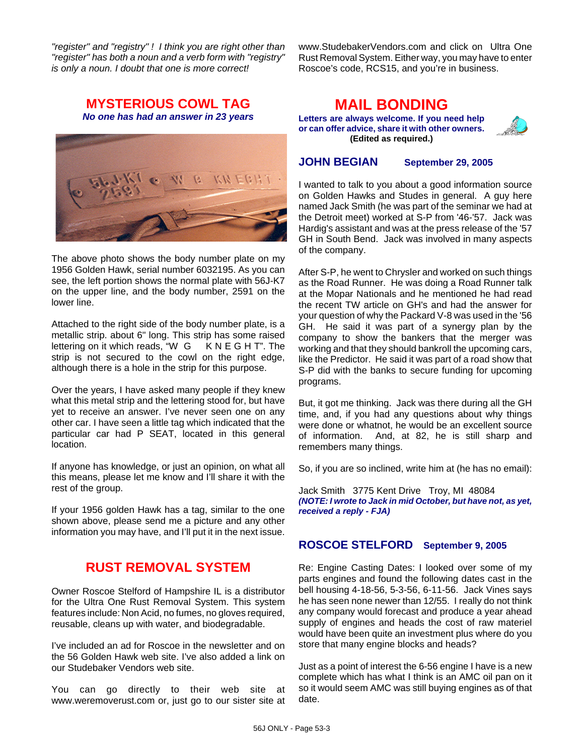*"register" and "registry" ! I think you are right other than "register" has both a noun and a verb form with "registry" is only a noun. I doubt that one is more correct!*

www.StudebakerVendors.com and click on Ultra One Rust Removal System. Either way, you may have to enter Roscoe's code, RCS15, and you're in business.

#### **MYSTERIOUS COWL TAG** *No one has had an answer in 23 years*



The above photo shows the body number plate on my 1956 Golden Hawk, serial number 6032195. As you can see, the left portion shows the normal plate with 56J-K7 on the upper line, and the body number, 2591 on the lower line.

Attached to the right side of the body number plate, is a metallic strip. about 6" long. This strip has some raised<br>lettering on it which reads, "W G KNE GHT". The lettering on it which reads, "W G strip is not secured to the cowl on the right edge, although there is a hole in the strip for this purpose.

Over the years, I have asked many people if they knew what this metal strip and the lettering stood for, but have yet to receive an answer. I've never seen one on any other car. I have seen a little tag which indicated that the particular car had P SEAT, located in this general location.

If anyone has knowledge, or just an opinion, on what all this means, please let me know and I'll share it with the rest of the group.

If your 1956 golden Hawk has a tag, similar to the one shown above, please send me a picture and any other information you may have, and I'll put it in the next issue.

### **RUST REMOVAL SYSTEM**

Owner Roscoe Stelford of Hampshire IL is a distributor for the Ultra One Rust Removal System. This system features include: Non Acid, no fumes, no gloves required, reusable, cleans up with water, and biodegradable.

I've included an ad for Roscoe in the newsletter and on the 56 Golden Hawk web site. I've also added a link on our Studebaker Vendors web site.

You can go directly to their web site at www.weremoverust.com or, just go to our sister site at

# **MAIL BONDING**

**Letters are always welcome. If you need help or can offer advice, share it with other owners. (Edited as required.)**



#### **JOHN BEGIAN September 29, 2005**

I wanted to talk to you about a good information source on Golden Hawks and Studes in general. A guy here named Jack Smith (he was part of the seminar we had at the Detroit meet) worked at S-P from '46-'57. Jack was Hardig's assistant and was at the press release of the '57 GH in South Bend. Jack was involved in many aspects of the company.

After S-P, he went to Chrysler and worked on such things as the Road Runner. He was doing a Road Runner talk at the Mopar Nationals and he mentioned he had read the recent TW article on GH's and had the answer for your question of why the Packard V-8 was used in the '56 GH. He said it was part of a synergy plan by the company to show the bankers that the merger was working and that they should bankroll the upcoming cars, like the Predictor. He said it was part of a road show that S-P did with the banks to secure funding for upcoming programs.

But, it got me thinking. Jack was there during all the GH time, and, if you had any questions about why things were done or whatnot, he would be an excellent source of information. And, at 82, he is still sharp and remembers many things.

So, if you are so inclined, write him at (he has no email):

Jack Smith 3775 Kent Drive Troy, MI 48084 *(NOTE: I wrote to Jack in mid October, but have not, as yet, received a reply - FJA)*

#### **ROSCOE STELFORD September 9, 2005**

Re: Engine Casting Dates: I looked over some of my parts engines and found the following dates cast in the bell housing 4-18-56, 5-3-56, 6-11-56. Jack Vines says he has seen none newer than 12/55. I really do not think any company would forecast and produce a year ahead supply of engines and heads the cost of raw materiel would have been quite an investment plus where do you store that many engine blocks and heads?

Just as a point of interest the 6-56 engine I have is a new complete which has what I think is an AMC oil pan on it so it would seem AMC was still buying engines as of that date.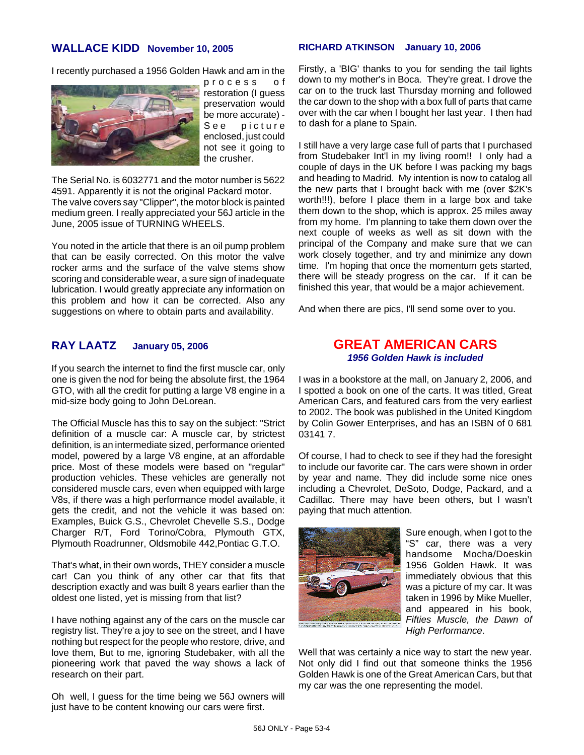#### **WALLACE KIDD November 10, 2005**

I recently purchased a 1956 Golden Hawk and am in the



process of restoration (I guess preservation would be more accurate) - See picture enclosed, just could not see it going to the crusher.

The Serial No. is 6032771 and the motor number is 5622 4591. Apparently it is not the original Packard motor.

The valve covers say "Clipper", the motor block is painted medium green. I really appreciated your 56J article in the June, 2005 issue of TURNING WHEELS.

You noted in the article that there is an oil pump problem that can be easily corrected. On this motor the valve rocker arms and the surface of the valve stems show scoring and considerable wear, a sure sign of inadequate lubrication. I would greatly appreciate any information on this problem and how it can be corrected. Also any suggestions on where to obtain parts and availability.

#### **RAY LAATZ January 05, 2006**

If you search the internet to find the first muscle car, only one is given the nod for being the absolute first, the 1964 GTO, with all the credit for putting a large V8 engine in a mid-size body going to John DeLorean.

The Official Muscle has this to say on the subject: "Strict definition of a muscle car: A muscle car, by strictest definition, is an intermediate sized, performance oriented model, powered by a large V8 engine, at an affordable price. Most of these models were based on "regular" production vehicles. These vehicles are generally not considered muscle cars, even when equipped with large V8s, if there was a high performance model available, it gets the credit, and not the vehicle it was based on: Examples, Buick G.S., Chevrolet Chevelle S.S., Dodge Charger R/T, Ford Torino/Cobra, Plymouth GTX, Plymouth Roadrunner, Oldsmobile 442,Pontiac G.T.O.

That's what, in their own words, THEY consider a muscle car! Can you think of any other car that fits that description exactly and was built 8 years earlier than the oldest one listed, yet is missing from that list?

I have nothing against any of the cars on the muscle car registry list. They're a joy to see on the street, and I have nothing but respect for the people who restore, drive, and love them, But to me, ignoring Studebaker, with all the pioneering work that paved the way shows a lack of research on their part.

Oh well, I guess for the time being we 56J owners will just have to be content knowing our cars were first.

#### **RICHARD ATKINSON January 10, 2006**

Firstly, a 'BIG' thanks to you for sending the tail lights down to my mother's in Boca. They're great. I drove the car on to the truck last Thursday morning and followed the car down to the shop with a box full of parts that came over with the car when I bought her last year. I then had to dash for a plane to Spain.

I still have a very large case full of parts that I purchased from Studebaker Int'l in my living room!! I only had a couple of days in the UK before I was packing my bags and heading to Madrid. My intention is now to catalog all the new parts that I brought back with me (over \$2K's worth!!!), before I place them in a large box and take them down to the shop, which is approx. 25 miles away from my home. I'm planning to take them down over the next couple of weeks as well as sit down with the principal of the Company and make sure that we can work closely together, and try and minimize any down time. I'm hoping that once the momentum gets started, there will be steady progress on the car. If it can be finished this year, that would be a major achievement.

And when there are pics, I'll send some over to you.

#### **GREAT AMERICAN CARS** *1956 Golden Hawk is included*

I was in a bookstore at the mall, on January 2, 2006, and I spotted a book on one of the carts. It was titled, Great American Cars, and featured cars from the very earliest to 2002. The book was published in the United Kingdom by Colin Gower Enterprises, and has an ISBN of 0 681 03141 7.

Of course, I had to check to see if they had the foresight to include our favorite car. The cars were shown in order by year and name. They did include some nice ones including a Chevrolet, DeSoto, Dodge, Packard, and a Cadillac. There may have been others, but I wasn't paying that much attention.



Sure enough, when I got to the "S" car, there was a very handsome Mocha/Doeskin 1956 Golden Hawk. It was immediately obvious that this was a picture of my car. It was taken in 1996 by Mike Mueller, and appeared in his book, *Fifties Muscle, the Dawn of High Performance*.

Well that was certainly a nice way to start the new year. Not only did I find out that someone thinks the 1956 Golden Hawk is one of the Great American Cars, but that my car was the one representing the model.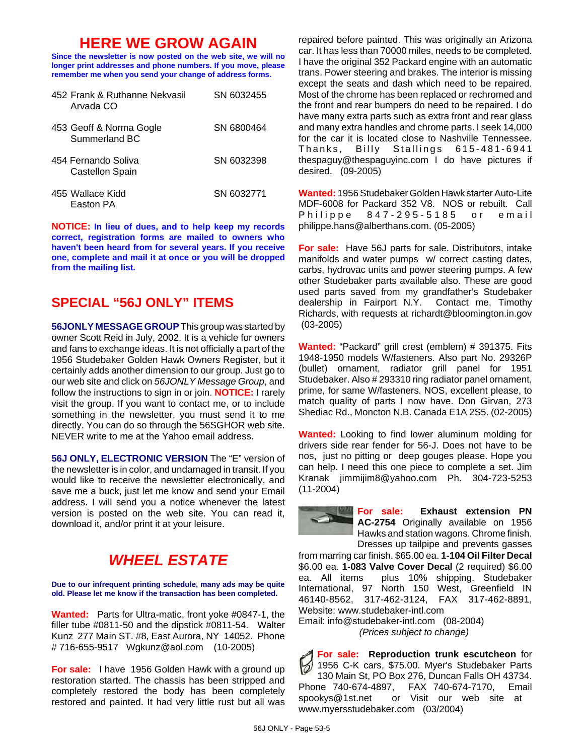# **HERE WE GROW AGAIN**

**Since the newsletter is now posted on the web site, we will no longer print addresses and phone numbers. If you move, please remember me when you send your change of address forms.**

| 452 Frank & Ruthanne Nekvasil<br>Arvada CO | SN 6032455 |
|--------------------------------------------|------------|
| 453 Geoff & Norma Gogle<br>Summerland BC   | SN 6800464 |
| 454 Fernando Soliva<br>Castellon Spain     | SN 6032398 |
| 455 Wallace Kidd<br>Faston PA              | SN 6032771 |

**NOTICE: In lieu of dues, and to help keep my records correct, registration forms are mailed to owners who haven't been heard from for several years. If you receive one, complete and mail it at once or you will be dropped from the mailing list.**

### **SPECIAL "56J ONLY" ITEMS**

**56JONLY MESSAGE GROUP** This group was started by owner Scott Reid in July, 2002. It is a vehicle for owners and fans to exchange ideas. It is not officially a part of the 1956 Studebaker Golden Hawk Owners Register, but it certainly adds another dimension to our group. Just go to our web site and click on *56JONLY Message Group*, and follow the instructions to sign in or join. **NOTICE:** I rarely visit the group. If you want to contact me, or to include something in the newsletter, you must send it to me directly. You can do so through the 56SGHOR web site. NEVER write to me at the Yahoo email address.

**56J ONLY, ELECTRONIC VERSION** The "E" version of the newsletter is in color, and undamaged in transit. If you would like to receive the newsletter electronically, and save me a buck, just let me know and send your Email address. I will send you a notice whenever the latest version is posted on the web site. You can read it, download it, and/or print it at your leisure.

# *WHEEL ESTATE*

**Due to our infrequent printing schedule, many ads may be quite old. Please let me know if the transaction has been completed.**

**Wanted:** Parts for Ultra-matic, front yoke #0847-1, the filler tube #0811-50 and the dipstick #0811-54. Walter Kunz 277 Main ST. #8, East Aurora, NY 14052. Phone # 716-655-9517 Wgkunz@aol.com (10-2005)

**For sale:** I have 1956 Golden Hawk with a ground up restoration started. The chassis has been stripped and completely restored the body has been completely restored and painted. It had very little rust but all was repaired before painted. This was originally an Arizona car. It has less than 70000 miles, needs to be completed. I have the original 352 Packard engine with an automatic trans. Power steering and brakes. The interior is missing except the seats and dash which need to be repaired. Most of the chrome has been replaced or rechromed and the front and rear bumpers do need to be repaired. I do have many extra parts such as extra front and rear glass and many extra handles and chrome parts. I seek 14,000 for the car it is located close to Nashville Tennessee. Thanks, Billy Stallings 615-481-6941 thespaguy@thespaguyinc.com I do have pictures if desired. (09-2005)

**Wanted:** 1956 Studebaker Golden Hawk starter Auto-Lite MDF-6008 for Packard 352 V8. NOS or rebuilt. Call Philippe 847-295-5185 or email philippe.hans@alberthans.com. (05-2005)

**For sale:** Have 56J parts for sale. Distributors, intake manifolds and water pumps w/ correct casting dates, carbs, hydrovac units and power steering pumps. A few other Studebaker parts available also. These are good used parts saved from my grandfather's Studebaker dealership in Fairport N.Y. Contact me, Timothy Richards, with requests at richardt@bloomington.in.gov (03-2005)

**Wanted:** "Packard" grill crest (emblem) # 391375. Fits 1948-1950 models W/fasteners. Also part No. 29326P (bullet) ornament, radiator grill panel for 1951 Studebaker. Also # 293310 ring radiator panel ornament, prime, for same W/fasteners. NOS, excellent please, to match quality of parts I now have. Don Girvan, 273 Shediac Rd., Moncton N.B. Canada E1A 2S5. (02-2005)

**Wanted:** Looking to find lower aluminum molding for drivers side rear fender for 56-J. Does not have to be nos, just no pitting or deep gouges please. Hope you can help. I need this one piece to complete a set. Jim Kranak jimmijim8@yahoo.com Ph. 304-723-5253 (11-2004)

> **For sale: Exhaust extension PN AC-2754** Originally available on 1956 Hawks and station wagons. Chrome finish. Dresses up tailpipe and prevents gasses

from marring car finish. \$65.00 ea. **1-104 Oil Filter Decal** \$6.00 ea. **1-083 Valve Cover Decal** (2 required) \$6.00 ea. All items plus 10% shipping. Studebaker International, 97 North 150 West, Greenfield IN 46140-8562, 317-462-3124, FAX 317-462-8891, Website: www.studebaker-intl.com

Email: info@studebaker-intl.com (08-2004) *(Prices subject to change)*

**For sale: Reproduction trunk escutcheon** for 1956 C-K cars, \$75.00. Myer's Studebaker Parts 130 Main St, PO Box 276, Duncan Falls OH 43734. Phone 740-674-4897, FAX 740-674-7170, Email spookys@1st.net or Visit our web site at www.myersstudebaker.com (03/2004)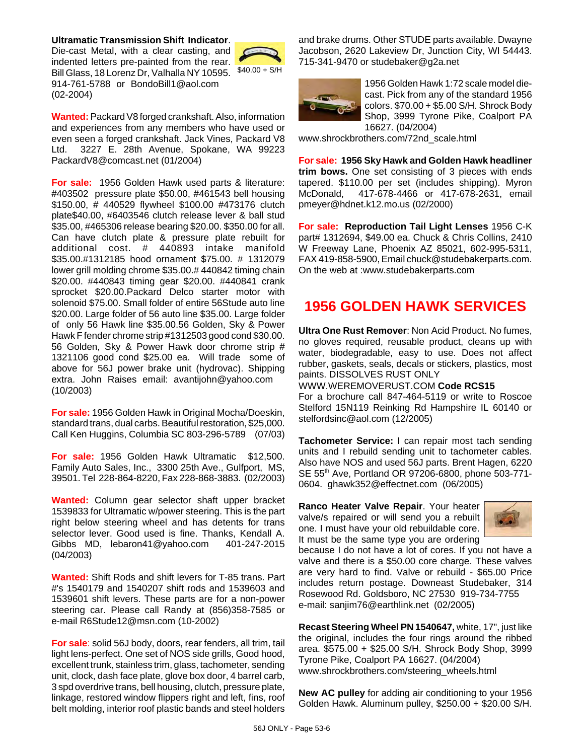#### **Ultramatic Transmission Shift Indicator**.

Bill Glass, 18 Lorenz Dr, Valhalla NY 10595. \$40.00 + S/H Die-cast Metal, with a clear casting, and indented letters pre-painted from the rear. 914-761-5788 or BondoBill1@aol.com (02-2004)



**Wanted:** Packard V8 forged crankshaft. Also, information and experiences from any members who have used or even seen a forged crankshaft. Jack Vines, Packard V8 Ltd. 3227 E. 28th Avenue, Spokane, WA 99223 PackardV8@comcast.net (01/2004)

**For sale:** 1956 Golden Hawk used parts & literature: #403502 pressure plate \$50.00, #461543 bell housing \$150.00, # 440529 flywheel \$100.00 #473176 clutch plate\$40.00, #6403546 clutch release lever & ball stud \$35.00, #465306 release bearing \$20.00. \$350.00 for all. Can have clutch plate & pressure plate rebuilt for additional cost. # 440893 intake manifold \$35.00.#1312185 hood ornament \$75.00. # 1312079 lower grill molding chrome \$35.00.# 440842 timing chain \$20.00. #440843 timing gear \$20.00. #440841 crank sprocket \$20.00.Packard Delco starter motor with solenoid \$75.00. Small folder of entire 56Stude auto line \$20.00. Large folder of 56 auto line \$35.00. Large folder of only 56 Hawk line \$35.00.56 Golden, Sky & Power Hawk F fender chrome strip #1312503 good cond \$30.00. 56 Golden, Sky & Power Hawk door chrome strip # 1321106 good cond \$25.00 ea. Will trade some of above for 56J power brake unit (hydrovac). Shipping extra. John Raises email: avantijohn@yahoo.com (10/2003)

**For sale:** 1956 Golden Hawk in Original Mocha/Doeskin, standard trans, dual carbs. Beautiful restoration, \$25,000. Call Ken Huggins, Columbia SC 803-296-5789 (07/03)

**For sale:** 1956 Golden Hawk Ultramatic \$12,500. Family Auto Sales, Inc., 3300 25th Ave., Gulfport, MS, 39501. Tel 228-864-8220, Fax 228-868-3883. (02/2003)

**Wanted:** Column gear selector shaft upper bracket 1539833 for Ultramatic w/power steering. This is the part right below steering wheel and has detents for trans selector lever. Good used is fine. Thanks, Kendall A. Gibbs MD, lebaron41@yahoo.com 401-247-2015 (04/2003)

**Wanted:** Shift Rods and shift levers for T-85 trans. Part #'s 1540179 and 1540207 shift rods and 1539603 and 1539601 shift levers. These parts are for a non-power steering car. Please call Randy at (856)358-7585 or e-mail R6Stude12@msn.com (10-2002)

**For sale**: solid 56J body, doors, rear fenders, all trim, tail light lens-perfect. One set of NOS side grills, Good hood, excellent trunk, stainless trim, glass, tachometer, sending unit, clock, dash face plate, glove box door, 4 barrel carb, 3 spd overdrive trans, bell housing, clutch, pressure plate, linkage, restored window flippers right and left, fins, roof belt molding, interior roof plastic bands and steel holders and brake drums. Other STUDE parts available. Dwayne Jacobson, 2620 Lakeview Dr, Junction City, WI 54443. 715-341-9470 or studebaker@g2a.net



1956 Golden Hawk 1:72 scale model diecast. Pick from any of the standard 1956 colors. \$70.00 + \$5.00 S/H. Shrock Body Shop, 3999 Tyrone Pike, Coalport PA 16627. (04/2004)

www.shrockbrothers.com/72nd\_scale.html

**For sale: 1956 Sky Hawk and Golden Hawk headliner trim bows.** One set consisting of 3 pieces with ends tapered. \$110.00 per set (includes shipping). Myron McDonald, 417-678-4466 or 417-678-2631, email pmeyer@hdnet.k12.mo.us (02/2000)

**For sale: Reproduction Tail Light Lenses** 1956 C-K part# 1312694, \$49.00 ea. Chuck & Chris Collins, 2410 W Freeway Lane, Phoenix AZ 85021, 602-995-5311, FAX 419-858-5900, Email chuck@studebakerparts.com. On the web at :www.studebakerparts.com

# **1956 GOLDEN HAWK SERVICES**

**Ultra One Rust Remover**: Non Acid Product. No fumes, no gloves required, reusable product, cleans up with water, biodegradable, easy to use. Does not affect rubber, gaskets, seals, decals or stickers, plastics, most paints. DISSOLVES RUST ONLY

WWW.WEREMOVERUST.COM **Code RCS15** For a brochure call 847-464-5119 or write to Roscoe Stelford 15N119 Reinking Rd Hampshire IL 60140 or stelfordsinc@aol.com (12/2005)

**Tachometer Service:** I can repair most tach sending units and I rebuild sending unit to tachometer cables. Also have NOS and used 56J parts. Brent Hagen, 6220 SE 55th Ave, Portland OR 97206-6800, phone 503-771- 0604. ghawk352@effectnet.com (06/2005)

**Ranco Heater Valve Repair**. Your heater valve/s repaired or will send you a rebuilt one. I must have your old rebuildable core. It must be the same type you are ordering



because I do not have a lot of cores. If you not have a valve and there is a \$50.00 core charge. These valves are very hard to find. Valve or rebuild - \$65.00 Price includes return postage. Downeast Studebaker, 314 Rosewood Rd. Goldsboro, NC 27530 919-734-7755 e-mail: sanjim76@earthlink.net (02/2005)

**Recast Steering Wheel PN 1540647,** white, 17", just like the original, includes the four rings around the ribbed area. \$575.00 + \$25.00 S/H. Shrock Body Shop, 3999 Tyrone Pike, Coalport PA 16627. (04/2004) www.shrockbrothers.com/steering\_wheels.html

**New AC pulley** for adding air conditioning to your 1956 Golden Hawk. Aluminum pulley, \$250.00 + \$20.00 S/H.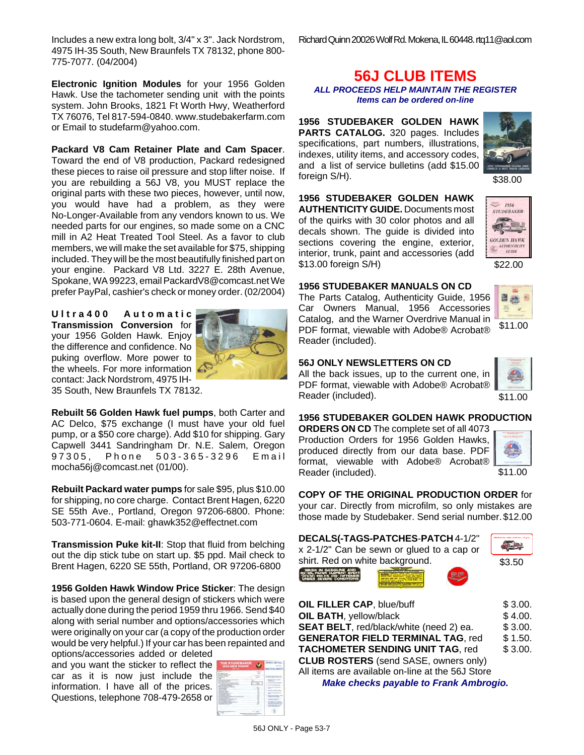Richard Quinn 20026 Wolf Rd. Mokena, IL 60448. rtq11@aol.com

**Electronic Ignition Modules** for your 1956 Golden Hawk. Use the tachometer sending unit with the points system. John Brooks, 1821 Ft Worth Hwy, Weatherford TX 76076, Tel 817-594-0840. www.studebakerfarm.com or Email to studefarm@yahoo.com.

#### **Packard V8 Cam Retainer Plate and Cam Spacer**.

Toward the end of V8 production, Packard redesigned these pieces to raise oil pressure and stop lifter noise. If you are rebuilding a 56J V8, you MUST replace the original parts with these two pieces, however, until now, you would have had a problem, as they were No-Longer-Available from any vendors known to us. We needed parts for our engines, so made some on a CNC mill in A2 Heat Treated Tool Steel. As a favor to club members, we will make the set available for \$75, shipping included. They will be the most beautifully finished part on your engine. Packard V8 Ltd. 3227 E. 28th Avenue, Spokane, WA 99223, email PackardV8@comcast.net We prefer PayPal, cashier's check or money order. (02/2004)

**Ultra400 Automatic Transmission Conversion** for your 1956 Golden Hawk. Enjoy the difference and confidence. No puking overflow. More power to the wheels. For more information  $\angle$ contact: Jack Nordstrom, 4975 IH-35 South, New Braunfels TX 78132.



**Rebuilt 56 Golden Hawk fuel pumps**, both Carter and AC Delco, \$75 exchange (I must have your old fuel pump, or a \$50 core charge). Add \$10 for shipping. Gary Capwell 3441 Sandringham Dr. N.E. Salem, Oregon 97305, Phone 503-365-3296 Email mocha56j@comcast.net (01/00).

**Rebuilt Packard water pumps** for sale \$95, plus \$10.00 for shipping, no core charge. Contact Brent Hagen, 6220 SE 55th Ave., Portland, Oregon 97206-6800. Phone: 503-771-0604. E-mail: ghawk352@effectnet.com

**Transmission Puke kit-II**: Stop that fluid from belching out the dip stick tube on start up. \$5 ppd. Mail check to Brent Hagen, 6220 SE 55th, Portland, OR 97206-6800

**1956 Golden Hawk Window Price Sticker**: The design is based upon the general design of stickers which were actually done during the period 1959 thru 1966. Send \$40 along with serial number and options/accessories which were originally on your car (a copy of the production order would be very helpful.) If your car has been repainted and options/accessories added or deleted

and you want the sticker to reflect the car as it is now just include the information. I have all of the prices. Questions, telephone 708-479-2658 or

| THE STUDEBAKER<br>GOLDEN HAWK |   |
|-------------------------------|---|
|                               |   |
|                               | ٠ |
|                               |   |
|                               |   |

# **56J CLUB ITEMS**

*ALL PROCEEDS HELP MAINTAIN THE REGISTER Items can be ordered on-line*

**1956 STUDEBAKER GOLDEN HAWK PARTS CATALOG.** 320 pages. Includes specifications, part numbers, illustrations, indexes, utility items, and accessory codes, and a list of service bulletins (add \$15.00 foreign S/H).



\$38.00

 $=$  1956 **STUDEBAKER** 

**1956 STUDEBAKER GOLDEN HAWK AUTHENTICITY GUIDE.** Documents most of the quirks with 30 color photos and all decals shown. The guide is divided into sections covering the engine, exterior, interior, trunk, paint and accessories (add \$13.00 foreign S/H)

#### **1956 STUDEBAKER MANUALS ON CD**

The Parts Catalog, Authenticity Guide, 1956 Car Owners Manual, 1956 Accessories Catalog, and the Warner Overdrive Manual in PDF format, viewable with Adobe® Acrobat® Reader (included).



\$22.00

**GOLDEN HAWK** THENTICIT<br>GUIDE

#### **56J ONLY NEWSLETTERS ON CD**

All the back issues, up to the current one, in PDF format, viewable with Adobe® Acrobat® Reader (included).



**1956 STUDEBAKER GOLDEN HAWK PRODUCTION**

**ORDERS ON CD** The complete set of all 4073 Production Orders for 1956 Golden Hawks, produced directly from our data base. PDF format, viewable with Adobe® Acrobat® Reader (included).



\$11.00

\$3.50

**COPY OF THE ORIGINAL PRODUCTION ORDER** for your car. Directly from microfilm, so only mistakes are those made by Studebaker. Send serial number. \$12.00

| ⊂<br>DECALS(-TAGS-PATCHES-PATCH 4-1/2"    |   |
|-------------------------------------------|---|
| x 2-1/2" Can be sewn or glued to a cap or | U |
| chirt. Bod on white bookaround            |   |







| OIL FILLER CAP, blue/buff                        | \$3.00. |
|--------------------------------------------------|---------|
| OIL BATH, yellow/black                           | \$4.00. |
| SEAT BELT, red/black/white (need 2) ea.          | \$3.00. |
| <b>GENERATOR FIELD TERMINAL TAG, red</b>         | \$1.50. |
| <b>TACHOMETER SENDING UNIT TAG, red</b>          | \$3.00. |
| <b>CLUB ROSTERS</b> (send SASE, owners only)     |         |
| All items are available on-line at the 56J Store |         |
| <b>Make checks payable to Frank Ambrogio.</b>    |         |